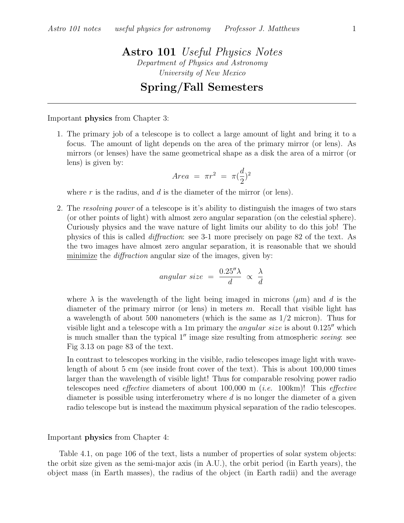## Astro 101 Useful Physics Notes Department of Physics and Astronomy University of New Mexico

## Spring/Fall Semesters

Important physics from Chapter 3:

1. The primary job of a telescope is to collect a large amount of light and bring it to a focus. The amount of light depends on the area of the primary mirror (or lens). As mirrors (or lenses) have the same geometrical shape as a disk the area of a mirror (or lens) is given by:

$$
Area = \pi r^2 = \pi (\frac{d}{2})^2
$$

where  $r$  is the radius, and  $d$  is the diameter of the mirror (or lens).

2. The resolving power of a telescope is it's ability to distinguish the images of two stars (or other points of light) with almost zero angular separation (on the celestial sphere). Curiously physics and the wave nature of light limits our ability to do this job! The physics of this is called diffraction: see 3-1 more precisely on page 82 of the text. As the two images have almost zero angular separation, it is reasonable that we should minimize the *diffraction* angular size of the images, given by:

$$
angular\ size\ =\ \frac{0.25^{\prime\prime}\lambda}{d}\ \propto\ \frac{\lambda}{d}
$$

where  $\lambda$  is the wavelength of the light being imaged in microns ( $\mu$ m) and d is the diameter of the primary mirror (or lens) in meters  $m$ . Recall that visible light has a wavelength of about 500 nanometers (which is the same as 1/2 micron). Thus for visible light and a telescope with a 1m primary the *angular size* is about  $0.125''$  which is much smaller than the typical 1<sup>''</sup> image size resulting from atmospheric *seeing*: see Fig 3.13 on page 83 of the text.

In contrast to telescopes working in the visible, radio telescopes image light with wavelength of about 5 cm (see inside front cover of the text). This is about 100,000 times larger than the wavelength of visible light! Thus for comparable resolving power radio telescopes need *effective* diameters of about  $100,000$  m (*i.e.*  $100 \text{km}$ )! This *effective* diameter is possible using interferometry where d is no longer the diameter of a given radio telescope but is instead the maximum physical separation of the radio telescopes.

## Important physics from Chapter 4:

Table 4.1, on page 106 of the text, lists a number of properties of solar system objects: the orbit size given as the semi-major axis (in A.U.), the orbit period (in Earth years), the object mass (in Earth masses), the radius of the object (in Earth radii) and the average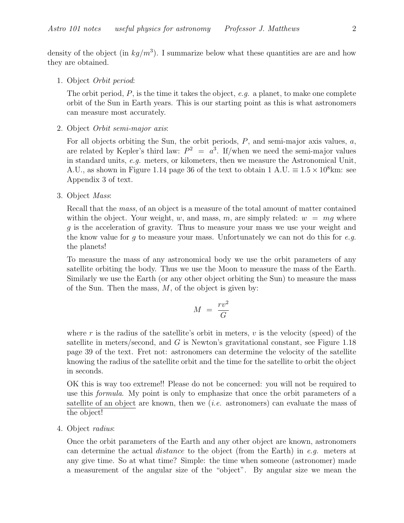density of the object (in  $kg/m^3$ ). I summarize below what these quantities are are and how they are obtained.

1. Object Orbit period:

The orbit period,  $P$ , is the time it takes the object, e.g. a planet, to make one complete orbit of the Sun in Earth years. This is our starting point as this is what astronomers can measure most accurately.

2. Object Orbit semi-major axis:

For all objects orbiting the Sun, the orbit periods,  $P$ , and semi-major axis values,  $a$ , are related by Kepler's third law:  $P^2 = a^3$ . If/when we need the semi-major values in standard units, e.g. meters, or kilometers, then we measure the Astronomical Unit, A.U., as shown in Figure 1.14 page 36 of the text to obtain  $1 \text{ A.U.} \equiv 1.5 \times 10^8 \text{km}$ : see Appendix 3 of text.

3. Object Mass:

Recall that the mass, of an object is a measure of the total amount of matter contained within the object. Your weight, w, and mass, m, are simply related:  $w = mq$  where g is the acceleration of gravity. Thus to measure your mass we use your weight and the know value for  $g$  to measure your mass. Unfortunately we can not do this for  $e.g.$ the planets!

To measure the mass of any astronomical body we use the orbit parameters of any satellite orbiting the body. Thus we use the Moon to measure the mass of the Earth. Similarly we use the Earth (or any other object orbiting the Sun) to measure the mass of the Sun. Then the mass,  $M$ , of the object is given by:

$$
M = \frac{rv^2}{G}
$$

where r is the radius of the satellite's orbit in meters,  $v$  is the velocity (speed) of the satellite in meters/second, and G is Newton's gravitational constant, see Figure 1.18 page 39 of the text. Fret not: astronomers can determine the velocity of the satellite knowing the radius of the satellite orbit and the time for the satellite to orbit the object in seconds.

OK this is way too extreme!! Please do not be concerned: you will not be required to use this formula. My point is only to emphasize that once the orbit parameters of a satellite of an object are known, then we *(i.e.* astronomers) can evaluate the mass of the object!

4. Object radius:

Once the orbit parameters of the Earth and any other object are known, astronomers can determine the actual *distance* to the object (from the Earth) in e.g. meters at any give time. So at what time? Simple: the time when someone (astronomer) made a measurement of the angular size of the "object". By angular size we mean the